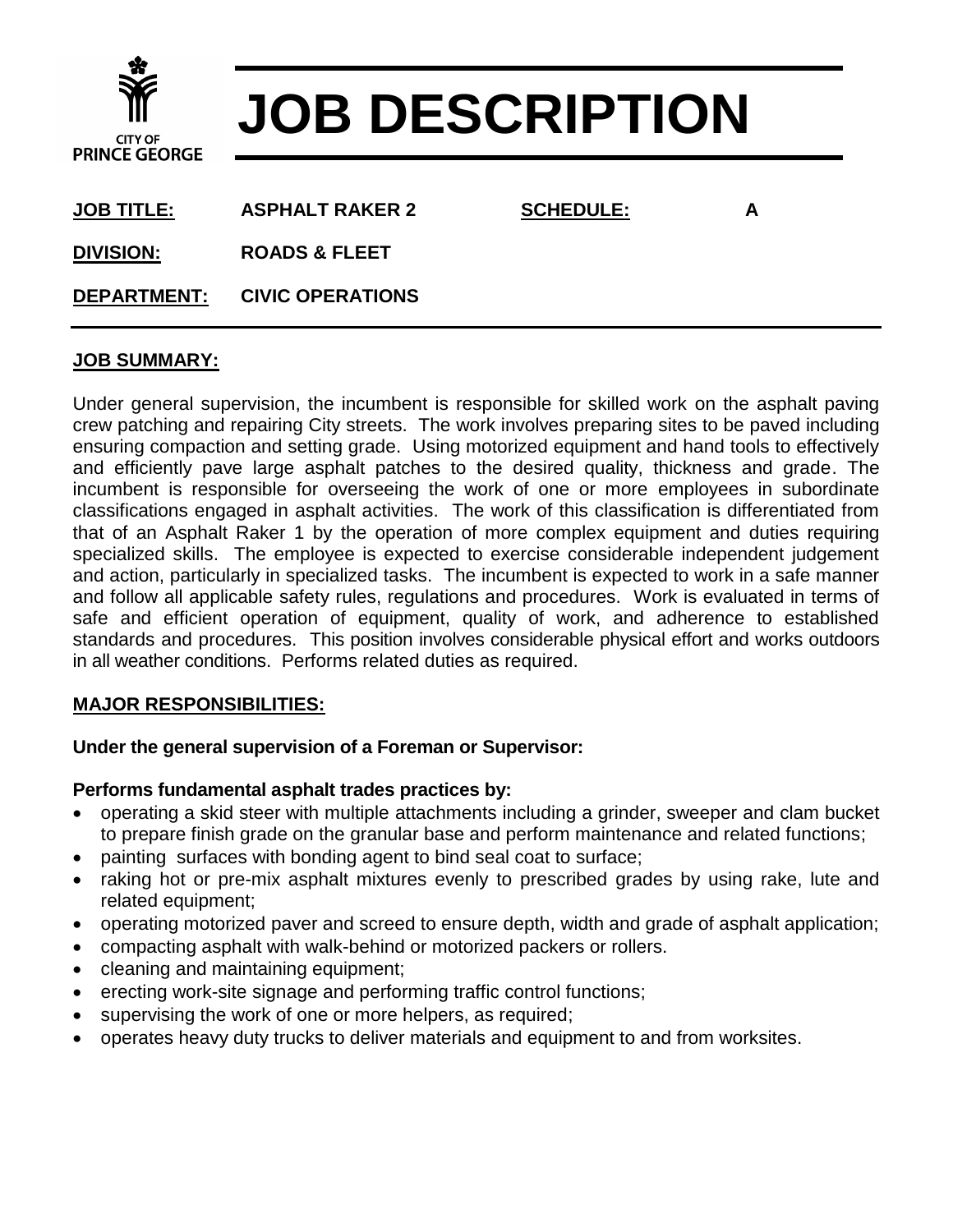

# **JOB DESCRIPTION**

**JOB TITLE: ASPHALT RAKER 2 SCHEDULE: A**

**DIVISION: ROADS & FLEET**

**DEPARTMENT: CIVIC OPERATIONS**

## **JOB SUMMARY:**

Under general supervision, the incumbent is responsible for skilled work on the asphalt paving crew patching and repairing City streets. The work involves preparing sites to be paved including ensuring compaction and setting grade. Using motorized equipment and hand tools to effectively and efficiently pave large asphalt patches to the desired quality, thickness and grade. The incumbent is responsible for overseeing the work of one or more employees in subordinate classifications engaged in asphalt activities. The work of this classification is differentiated from that of an Asphalt Raker 1 by the operation of more complex equipment and duties requiring specialized skills. The employee is expected to exercise considerable independent judgement and action, particularly in specialized tasks. The incumbent is expected to work in a safe manner and follow all applicable safety rules, regulations and procedures. Work is evaluated in terms of safe and efficient operation of equipment, quality of work, and adherence to established standards and procedures. This position involves considerable physical effort and works outdoors in all weather conditions. Performs related duties as required.

### **MAJOR RESPONSIBILITIES:**

### **Under the general supervision of a Foreman or Supervisor:**

### **Performs fundamental asphalt trades practices by:**

- operating a skid steer with multiple attachments including a grinder, sweeper and clam bucket to prepare finish grade on the granular base and perform maintenance and related functions;
- painting surfaces with bonding agent to bind seal coat to surface;
- raking hot or pre-mix asphalt mixtures evenly to prescribed grades by using rake, lute and related equipment;
- operating motorized paver and screed to ensure depth, width and grade of asphalt application;
- compacting asphalt with walk-behind or motorized packers or rollers.
- cleaning and maintaining equipment;
- erecting work-site signage and performing traffic control functions;
- supervising the work of one or more helpers, as required;
- operates heavy duty trucks to deliver materials and equipment to and from worksites.